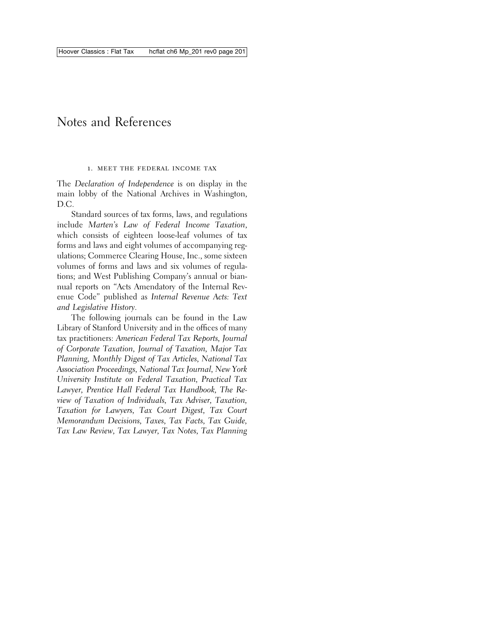# Notes and References

#### 1. meet the federal income tax

The *Declaration of Independence* is on display in the main lobby of the National Archives in Washington, D.C.

Standard sources of tax forms, laws, and regulations include *Marten's Law of Federal Income Taxation*, which consists of eighteen loose-leaf volumes of tax forms and laws and eight volumes of accompanying regulations; Commerce Clearing House, Inc., some sixteen volumes of forms and laws and six volumes of regulations; and West Publishing Company's annual or biannual reports on "Acts Amendatory of the Internal Revenue Code" published as *Internal Revenue Acts: Text and Legislative History*.

The following journals can be found in the Law Library of Stanford University and in the offices of many tax practitioners: *American Federal Tax Reports, Journal of Corporate Taxation, Journal of Taxation, Major Tax Planning, Monthly Digest of Tax Articles, National Tax Association Proceedings, National Tax Journal, New York University Institute on Federal Taxation, Practical Tax Lawyer, Prentice Hall Federal Tax Handbook, The Review of Taxation of Individuals, Tax Adviser, Taxation, Taxation for Lawyers, Tax Court Digest, Tax Court Memorandum Decisions, Taxes, Tax Facts, Tax Guide, Tax Law Review, Tax Lawyer, Tax Notes, Tax Planning*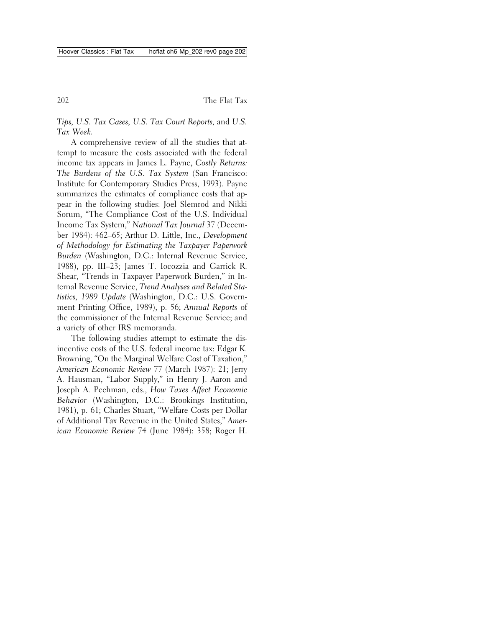*Tips, U.S. Tax Cases, U.S. Tax Court Reports,* and *U.S. Tax Week.*

A comprehensive review of all the studies that attempt to measure the costs associated with the federal income tax appears in James L. Payne, *Costly Returns: The Burdens of the U.S. Tax System* (San Francisco: Institute for Contemporary Studies Press, 1993). Payne summarizes the estimates of compliance costs that appear in the following studies: Joel Slemrod and Nikki Sorum, "The Compliance Cost of the U.S. Individual Income Tax System," *National Tax Journal* 37 (December 1984): 462–65; Arthur D. Little, Inc., *Development of Methodology for Estimating the Taxpayer Paperwork Burden* (Washington, D.C.: Internal Revenue Service, 1988), pp. III–23; James T. Iocozzia and Garrick R. Shear, "Trends in Taxpayer Paperwork Burden," in Internal Revenue Service, *Trend Analyses and Related Statistics, 1989 Update* (Washington, D.C.: U.S. Government Printing Office, 1989), p. 56; *Annual Reports* of the commissioner of the Internal Revenue Service; and a variety of other IRS memoranda.

The following studies attempt to estimate the disincentive costs of the U.S. federal income tax: Edgar K. Browning, "On the Marginal Welfare Cost of Taxation," *American Economic Review* 77 (March 1987): 21; Jerry A. Hausman, "Labor Supply," in Henry J. Aaron and Joseph A. Pechman, eds., *How Taxes Affect Economic Behavior* (Washington, D.C.: Brookings Institution, 1981), p. 61; Charles Stuart, "Welfare Costs per Dollar of Additional Tax Revenue in the United States," *American Economic Review* 74 (June 1984): 358; Roger H.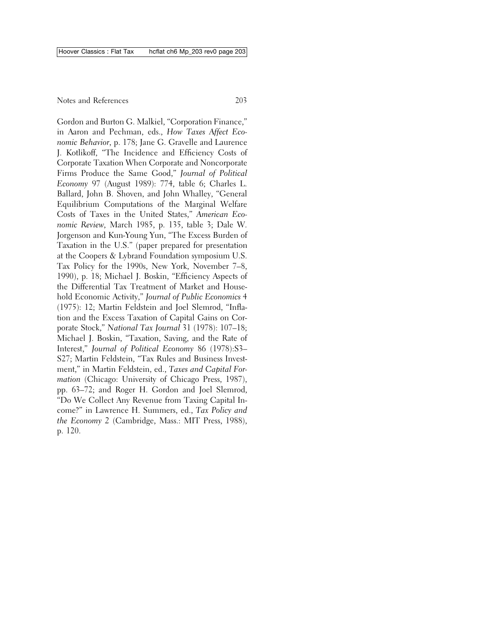Gordon and Burton G. Malkiel, "Corporation Finance," in Aaron and Pechman, eds., *How Taxes Affect Economic Behavior*, p. 178; Jane G. Gravelle and Laurence J. Kotlikoff, "The Incidence and Efficiency Costs of Corporate Taxation When Corporate and Noncorporate Firms Produce the Same Good," *Journal of Political Economy* 97 (August 1989): 774, table 6; Charles L. Ballard, John B. Shoven, and John Whalley, "General Equilibrium Computations of the Marginal Welfare Costs of Taxes in the United States," *American Economic Review,* March 1985, p. 135, table 3; Dale W. Jorgenson and Kun-Young Yun, "The Excess Burden of Taxation in the U.S." (paper prepared for presentation at the Coopers & Lybrand Foundation symposium U.S. Tax Policy for the 1990s, New York, November 7–8, 1990), p. 18; Michael J. Boskin, "Efficiency Aspects of the Differential Tax Treatment of Market and Household Economic Activity," *Journal of Public Economics* 4 (1975): 12; Martin Feldstein and Joel Slemrod, "Inflation and the Excess Taxation of Capital Gains on Corporate Stock," *National Tax Journal* 31 (1978): 107–18; Michael J. Boskin, "Taxation, Saving, and the Rate of Interest," *Journal of Political Economy* 86 (1978):S3– S27; Martin Feldstein, "Tax Rules and Business Investment," in Martin Feldstein, ed., *Taxes and Capital Formation* (Chicago: University of Chicago Press, 1987), pp. 63–72; and Roger H. Gordon and Joel Slemrod, "Do We Collect Any Revenue from Taxing Capital Income?" in Lawrence H. Summers, ed., *Tax Policy and the Economy 2* (Cambridge, Mass.: MIT Press, 1988), p. 120.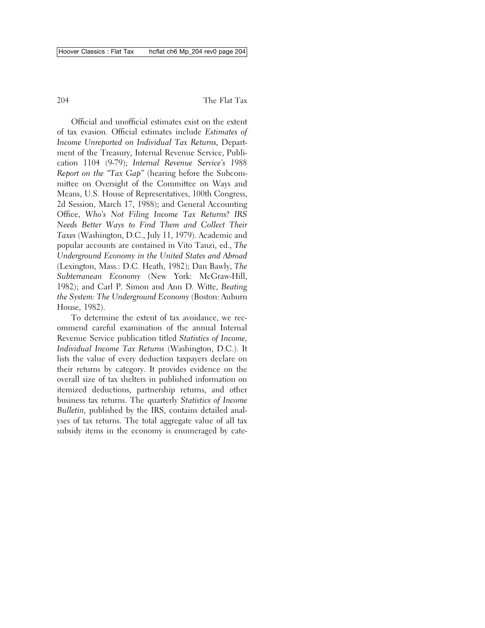Official and unofficial estimates exist on the extent of tax evasion. Official estimates include *Estimates of Income Unreported on Individual Tax Returns,* Department of the Treasury, Internal Revenue Service, Publication 1104 (9-79); *Internal Revenue Service's 1988 Report on the "Tax Gap"* (hearing before the Subcommittee on Oversight of the Committee on Ways and Means, U.S. House of Representatives, 100th Congress, 2d Session, March 17, 1988); and General Accounting Office, *Who's Not Filing Income Tax Returns? IRS Needs Better Ways to Find Them and Collect Their Taxes* (Washington, D.C., July 11, 1979). Academic and popular accounts are contained in Vito Tanzi, ed., *The Underground Economy in the United States and Abroad* (Lexington, Mass.: D.C. Heath, 1982); Dan Bawly, *The Subterranean Economy* (New York: McGraw-Hill, 1982); and Carl P. Simon and Ann D. Witte, *Beating the System: The Underground Economy* (Boston: Auburn House, 1982).

To determine the extent of tax avoidance, we recommend careful examination of the annual Internal Revenue Service publication titled *Statistics of Income, Individual Income Tax Returns* (Washington, D.C.). It lists the value of every deduction taxpayers declare on their returns by category. It provides evidence on the overall size of tax shelters in published information on itemized deductions, partnership returns, and other business tax returns. The quarterly *Statistics of Income Bulletin,* published by the IRS, contains detailed analyses of tax returns. The total aggregate value of all tax subsidy items in the economy is enumeraged by cate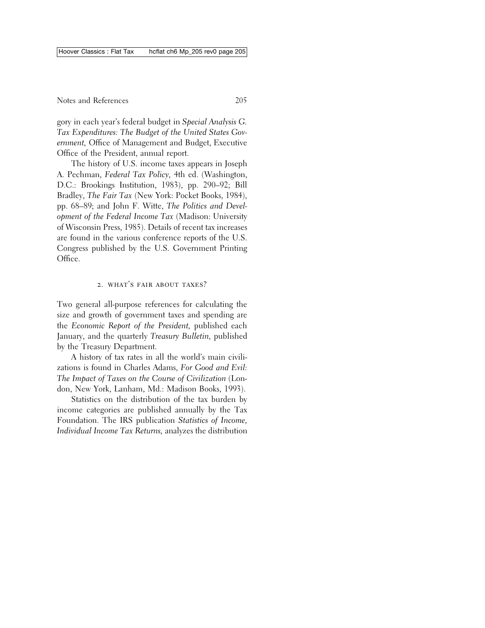gory in each year's federal budget in *Special Analysis G. Tax Expenditures: The Budget of the United States Government,* Office of Management and Budget, Executive Office of the President, annual report.

The history of U.S. income taxes appears in Joseph A. Pechman, *Federal Tax Policy,* 4th ed. (Washington, D.C.: Brookings Institution, 1983), pp. 290–92; Bill Bradley, *The Fair Tax* (New York: Pocket Books, 1984), pp. 68–89; and John F. Witte, *The Politics and Development of the Federal Income Tax* (Madison: University of Wisconsin Press, 1985). Details of recent tax increases are found in the various conference reports of the U.S. Congress published by the U.S. Government Printing Office.

## 2. WHAT'S FAIR ABOUT TAXES?

Two general all-purpose references for calculating the size and growth of government taxes and spending are the *Economic Report of the President,* published each January, and the quarterly *Treasury Bulletin,* published by the Treasury Department.

A history of tax rates in all the world's main civilizations is found in Charles Adams, *For Good and Evil: The Impact of Taxes on the Course of Civilization* (London, New York, Lanham, Md.: Madison Books, 1993).

Statistics on the distribution of the tax burden by income categories are published annually by the Tax Foundation. The IRS publication *Statistics of Income, Individual Income Tax Returns,* analyzes the distribution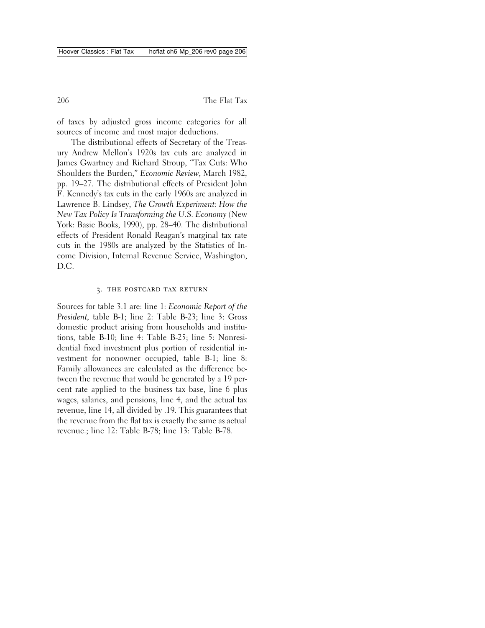of taxes by adjusted gross income categories for all sources of income and most major deductions.

The distributional effects of Secretary of the Treasury Andrew Mellon's 1920s tax cuts are analyzed in James Gwartney and Richard Stroup, "Tax Cuts: Who Shoulders the Burden," *Economic Review*, March 1982, pp. 19–27. The distributional effects of President John F. Kennedy's tax cuts in the early 1960s are analyzed in Lawrence B. Lindsey, *The Growth Experiment: How the New Tax Policy Is Transforming the U.S. Economy* (New York: Basic Books, 1990), pp. 28–40. The distributional effects of President Ronald Reagan's marginal tax rate cuts in the 1980s are analyzed by the Statistics of Income Division, Internal Revenue Service, Washington, D.C.

### 3. the postcard tax return

Sources for table 3.1 are: line 1: *Economic Report of the President,* table B-1; line 2: Table B-23; line 3: Gross domestic product arising from households and institutions, table B-10; line 4: Table B-25; line 5: Nonresidential fixed investment plus portion of residential investment for nonowner occupied, table B-1; line 8: Family allowances are calculated as the difference between the revenue that would be generated by a 19 percent rate applied to the business tax base, line 6 plus wages, salaries, and pensions, line 4, and the actual tax revenue, line 14, all divided by .19. This guarantees that the revenue from the flat tax is exactly the same as actual revenue.; line 12: Table B-78; line 13: Table B-78.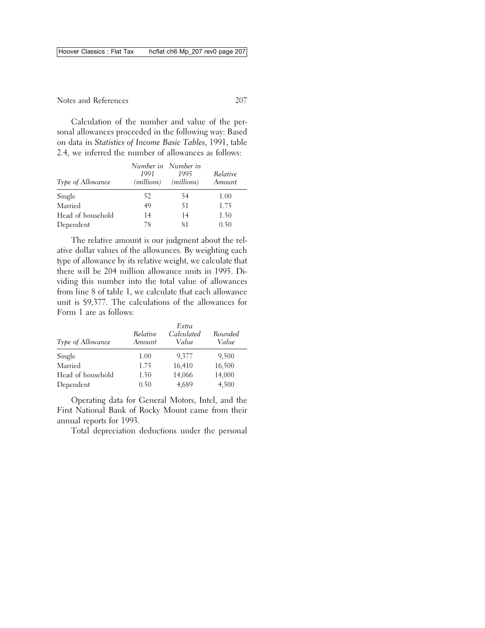Calculation of the number and value of the personal allowances proceeded in the following way: Based on data in *Statistics of Income Basic Tables*, 1991, table 2.4, we inferred the number of allowances as follows:

| Type of Allowance | 1991 | Number in Number in<br>1995<br>(millions) (millions) | Relative<br>Amount |
|-------------------|------|------------------------------------------------------|--------------------|
| Single            | 52   | 54                                                   | 1.00               |
| Married           | 49   | 51                                                   | 1.75               |
| Head of household | 14   | 14                                                   | 1.50               |
| Dependent         | 78   | 81                                                   | 0.50               |

The relative amount is our judgment about the relative dollar values of the allowances. By weighting each type of allowance by its relative weight, we calculate that there will be 204 million allowance units in 1995. Dividing this number into the total value of allowances from line 8 of table 1, we calculate that each allowance unit is \$9,377. The calculations of the allowances for Form 1 are as follows:

| Type of Allowance | Relative<br>Amount | Extra<br>Calculated<br>Value | Rounded<br>Value |
|-------------------|--------------------|------------------------------|------------------|
| Single            | 1.00               | 9,377                        | 9,500            |
| Married           | 1.75               | 16,410                       | 16,500           |
| Head of household | 1.50               | 14,066                       | 14,000           |
| Dependent         | 0.50               | 4,689                        | 4,500            |

Operating data for General Motors, Intel, and the First National Bank of Rocky Mount came from their annual reports for 1993.

Total depreciation deductions under the personal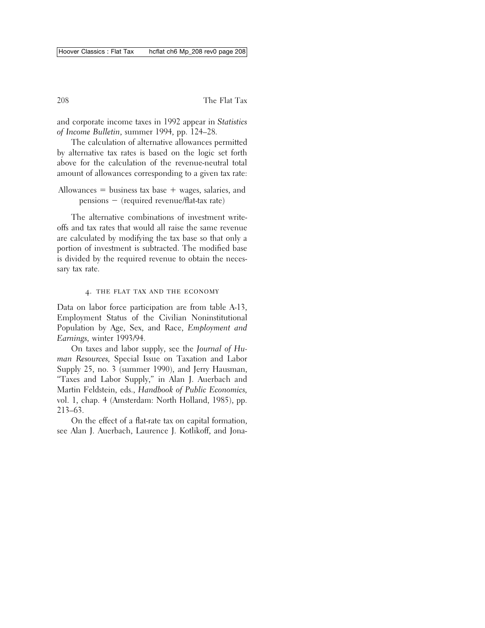and corporate income taxes in 1992 appear in *Statistics of Income Bulletin*, summer 1994, pp. 124–28.

The calculation of alternative allowances permitted by alternative tax rates is based on the logic set forth above for the calculation of the revenue-neutral total amount of allowances corresponding to a given tax rate:

```
Allowances = business tax base + wages, salaries, and
pensions - (required revenue/flat-tax rate)
```
The alternative combinations of investment writeoffs and tax rates that would all raise the same revenue are calculated by modifying the tax base so that only a portion of investment is subtracted. The modified base is divided by the required revenue to obtain the necessary tax rate.

## 4. the flat tax and the economy

Data on labor force participation are from table A-13, Employment Status of the Civilian Noninstitutional Population by Age, Sex, and Race, *Employment and Earnings,* winter 1993/94.

On taxes and labor supply, see the *Journal of Human Resources,* Special Issue on Taxation and Labor Supply 25, no. 3 (summer 1990), and Jerry Hausman, "Taxes and Labor Supply," in Alan J. Auerbach and Martin Feldstein, eds., *Handbook of Public Economics,* vol. 1, chap. 4 (Amsterdam: North Holland, 1985), pp. 213–63.

On the effect of a flat-rate tax on capital formation, see Alan J. Auerbach, Laurence J. Kotlikoff, and Jona